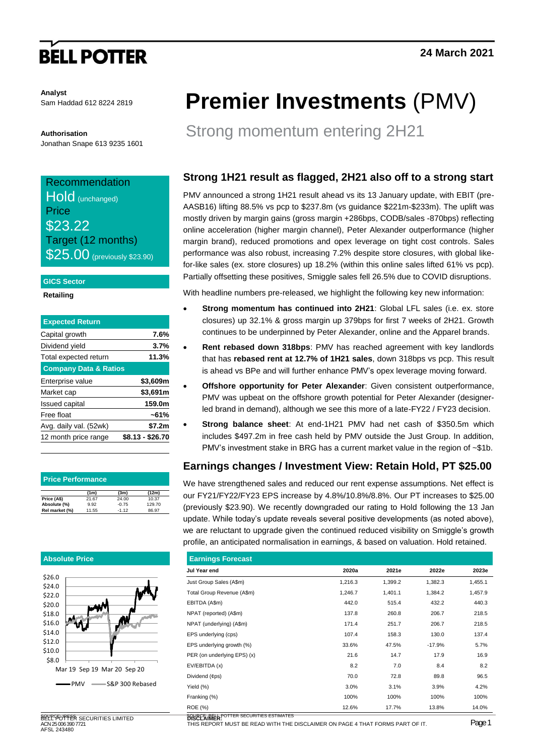# **BELL POTTER**

**Analyst** Sam Haddad 612 8224 2819

**Authorisation** Jonathan Snape 613 9235 1601

## Recommendation Hold (unchanged) **Price** \$23.22 Target (12 months)  $$25.00$  (previously \$23.90)

### **GICS Sector**

**Retailing**

| <b>Expected Return</b>           |                  |
|----------------------------------|------------------|
| Capital growth                   | 7.6%             |
| Dividend yield                   | 3.7%             |
| Total expected return            | 11.3%            |
| <b>Company Data &amp; Ratios</b> |                  |
| Enterprise value                 | \$3,609m         |
| Market cap                       | \$3,691m         |
| <b>Issued capital</b>            | 159.0m           |
| Free float                       | ~61%             |
| Avg. daily val. (52wk)           | \$7.2m           |
| 12 month price range             | \$8.13 - \$26.70 |

| <b>Price Performance</b> |       |         |        |  |  |  |  |
|--------------------------|-------|---------|--------|--|--|--|--|
|                          | (1m)  | (3m)    | (12m)  |  |  |  |  |
| Price (A\$)              | 21.67 | 24.00   | 10.37  |  |  |  |  |
| Absolute (%)             | 9.92  | $-0.75$ | 129.70 |  |  |  |  |
| Rel market (%)           | 11.55 | $-1.12$ | 86.97  |  |  |  |  |

### **Absolute Price**



# **Premier Investments** (PMV)

Strong momentum entering 2H21

## **Strong 1H21 result as flagged, 2H21 also off to a strong start**

PMV announced a strong 1H21 result ahead vs its 13 January update, with EBIT (pre-AASB16) lifting 88.5% vs pcp to \$237.8m (vs guidance \$221m-\$233m). The uplift was mostly driven by margin gains (gross margin +286bps, CODB/sales -870bps) reflecting online acceleration (higher margin channel), Peter Alexander outperformance (higher margin brand), reduced promotions and opex leverage on tight cost controls. Sales performance was also robust, increasing 7.2% despite store closures, with global likefor-like sales (ex. store closures) up 18.2% (within this online sales lifted 61% vs pcp). Partially offsetting these positives, Smiggle sales fell 26.5% due to COVID disruptions.

With headline numbers pre-released, we highlight the following key new information:

- **Strong momentum has continued into 2H21**: Global LFL sales (i.e. ex. store closures) up 32.1% & gross margin up 379bps for first 7 weeks of 2H21. Growth continues to be underpinned by Peter Alexander, online and the Apparel brands.
- **Rent rebased down 318bps**: PMV has reached agreement with key landlords that has **rebased rent at 12.7% of 1H21 sales**, down 318bps vs pcp. This result is ahead vs BPe and will further enhance PMV's opex leverage moving forward.
- **Offshore opportunity for Peter Alexander**: Given consistent outperformance, PMV was upbeat on the offshore growth potential for Peter Alexander (designerled brand in demand), although we see this more of a late-FY22 / FY23 decision.
- **Strong balance sheet**: At end-1H21 PMV had net cash of \$350.5m which includes \$497.2m in free cash held by PMV outside the Just Group. In addition, PMV's investment stake in BRG has a current market value in the region of ~\$1b.

## **Earnings changes / Investment View: Retain Hold, PT \$25.00**

We have strengthened sales and reduced our rent expense assumptions. Net effect is our FY21/FY22/FY23 EPS increase by 4.8%/10.8%/8.8%. Our PT increases to \$25.00 (previously \$23.90). We recently downgraded our rating to Hold following the 13 Jan update. While today's update reveals several positive developments (as noted above), we are reluctant to upgrade given the continued reduced visibility on Smiggle's growth profile, an anticipated normalisation in earnings, & based on valuation. Hold retained.

| <b>Earnings Forecast</b>    |         |         |          |         |  |  |  |  |
|-----------------------------|---------|---------|----------|---------|--|--|--|--|
| Jul Year end                | 2020a   | 2021e   | 2022e    | 2023e   |  |  |  |  |
| Just Group Sales (A\$m)     | 1,216.3 | 1,399.2 | 1,382.3  | 1,455.1 |  |  |  |  |
| Total Group Revenue (A\$m)  | 1,246.7 | 1,401.1 | 1,384.2  | 1,457.9 |  |  |  |  |
| EBITDA (A\$m)               | 442.0   | 515.4   | 432.2    | 440.3   |  |  |  |  |
| NPAT (reported) (A\$m)      | 137.8   | 260.8   | 206.7    | 218.5   |  |  |  |  |
| NPAT (underlying) (A\$m)    | 171.4   | 251.7   | 206.7    | 218.5   |  |  |  |  |
| EPS underlying (cps)        | 107.4   | 158.3   | 130.0    | 137.4   |  |  |  |  |
| EPS underlying growth (%)   | 33.6%   | 47.5%   | $-17.9%$ | 5.7%    |  |  |  |  |
| PER (on underlying EPS) (x) | 21.6    | 14.7    | 17.9     | 16.9    |  |  |  |  |
| EV/EBITDA (x)               | 8.2     | 7.0     | 8.4      | 8.2     |  |  |  |  |
| Dividend (¢ps)              | 70.0    | 72.8    | 89.8     | 96.5    |  |  |  |  |
| Yield (%)                   | 3.0%    | 3.1%    | 3.9%     | 4.2%    |  |  |  |  |
| Franking (%)                | 100%    | 100%    | 100%     | 100%    |  |  |  |  |
| <b>ROE</b> (%)              | 12.6%   | 17.7%   | 13.8%    | 14.0%   |  |  |  |  |

**BELL POTTER SECURITIES LIMITED**<br>**DISCLAIMER:** SECURITIES LIMITED<br>
2008 DISCLAIMER:

UISLAIMER:<br>THIS REPORT MUST BE READ WITH THE DISCLAIMER ON PAGE 4 THAT FORMS PART OF IT. Page 1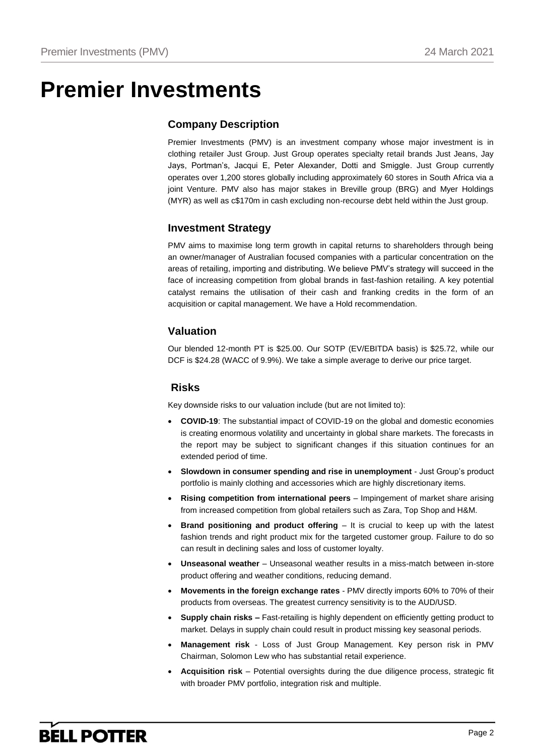## **Premier Investments**

## **Company Description**

Premier Investments (PMV) is an investment company whose major investment is in clothing retailer Just Group. Just Group operates specialty retail brands Just Jeans, Jay Jays, Portman's, Jacqui E, Peter Alexander, Dotti and Smiggle. Just Group currently operates over 1,200 stores globally including approximately 60 stores in South Africa via a joint Venture. PMV also has major stakes in Breville group (BRG) and Myer Holdings (MYR) as well as c\$170m in cash excluding non-recourse debt held within the Just group.

## **Investment Strategy**

PMV aims to maximise long term growth in capital returns to shareholders through being an owner/manager of Australian focused companies with a particular concentration on the areas of retailing, importing and distributing. We believe PMV's strategy will succeed in the face of increasing competition from global brands in fast-fashion retailing. A key potential catalyst remains the utilisation of their cash and franking credits in the form of an acquisition or capital management. We have a Hold recommendation.

## **Valuation**

Our blended 12-month PT is \$25.00. Our SOTP (EV/EBITDA basis) is \$25.72, while our DCF is \$24.28 (WACC of 9.9%). We take a simple average to derive our price target.

## **Risks**

Key downside risks to our valuation include (but are not limited to):

- **COVID-19**: The substantial impact of COVID-19 on the global and domestic economies is creating enormous volatility and uncertainty in global share markets. The forecasts in the report may be subject to significant changes if this situation continues for an extended period of time.
- **Slowdown in consumer spending and rise in unemployment** Just Group's product portfolio is mainly clothing and accessories which are highly discretionary items.
- **Rising competition from international peers**  Impingement of market share arising from increased competition from global retailers such as Zara, Top Shop and H&M.
- **Brand positioning and product offering It is crucial to keep up with the latest** fashion trends and right product mix for the targeted customer group. Failure to do so can result in declining sales and loss of customer loyalty.
- **Unseasonal weather** Unseasonal weather results in a miss-match between in-store product offering and weather conditions, reducing demand.
- **Movements in the foreign exchange rates** PMV directly imports 60% to 70% of their products from overseas. The greatest currency sensitivity is to the AUD/USD.
- **Supply chain risks –** Fast-retailing is highly dependent on efficiently getting product to market. Delays in supply chain could result in product missing key seasonal periods.
- **Management risk**  Loss of Just Group Management. Key person risk in PMV Chairman, Solomon Lew who has substantial retail experience.
- **Acquisition risk**  Potential oversights during the due diligence process, strategic fit with broader PMV portfolio, integration risk and multiple.

## **BELL POTTER**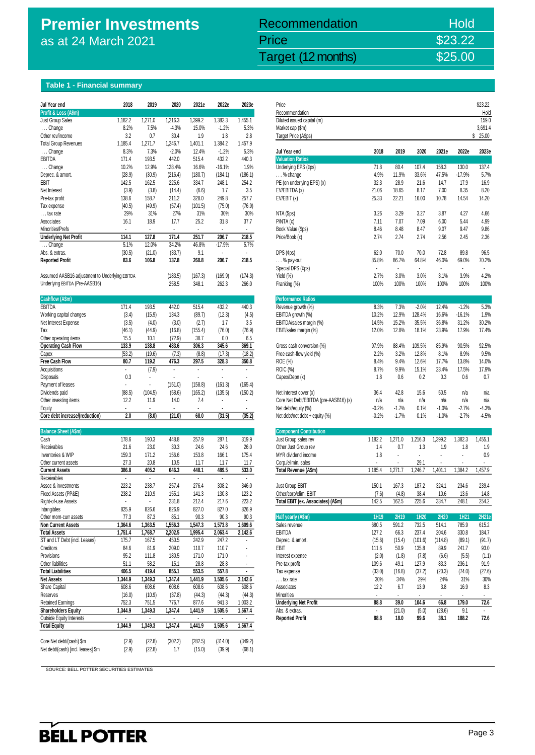## **Premier Investments** as at 24 March 2021

## Premier Investments (PMV) 24 March 2021 <mark>Target (12 months) \$25.000 March 2021</mark> Recommendation Hold **Price \$23.22**

### **Table 1 - Financial summary**

| Jul Year end                                   | 2018                     | 2019                     | 2020                     | 2021e                    | 2022e                    | 2023e                    | Price                                        |                       |                      |                |                             |                     | \$23.22        |
|------------------------------------------------|--------------------------|--------------------------|--------------------------|--------------------------|--------------------------|--------------------------|----------------------------------------------|-----------------------|----------------------|----------------|-----------------------------|---------------------|----------------|
| Profit & Loss (A\$m)                           |                          |                          |                          |                          |                          |                          | Recommendation                               |                       |                      |                |                             |                     | Hold           |
| Just Group Sales                               | 1,182.2                  | 1,271.0                  | 1,216.3                  | 1,399.2                  | 1,382.3                  | 1,455.1                  | Diluted issued capital (m)                   |                       |                      |                |                             |                     | 159.0          |
| $\ldots$ Change                                | 8.2%                     | 7.5%                     | $-4.3%$                  | 15.0%                    | $-1.2%$                  | 5.3%                     | Market cap (\$m)                             |                       |                      |                |                             |                     | 3,691.4        |
| Other rev/income                               | 3.2                      | 0.7                      | 30.4                     | 1.9                      | 1.8                      | 2.8                      | Target Price (A\$ps)                         |                       |                      |                |                             |                     | 25.00<br>\$    |
| <b>Total Group Revenues</b>                    | 1,185.4                  | 1,271.7                  | 1,246.7                  | 1,401.1                  | 1,384.2                  | 1,457.9                  |                                              |                       |                      |                |                             |                     |                |
| $\ldots$ Change                                | 8.3%                     | 7.3%                     | $-2.0%$                  | 12.4%                    | $-1.2%$                  | 5.3%                     | Jul Year end                                 | 2018                  | 2019                 | 2020           | 2021e                       | 2022e               | 2023e          |
| EBITDA                                         | 171.4                    | 193.5                    | 442.0                    | 515.4                    | 432.2                    | 440.3                    | <b>Valuation Ratios</b>                      |                       |                      |                |                             |                     |                |
| Change                                         | 10.2%                    | 12.9%                    | 128.4%                   | 16.6%                    | $-16.1%$                 | 1.9%                     | Underlying EPS (¢ps)                         | 71.8                  | 80.4                 | 107.4          | 158.3                       | 130.0               | 137.4          |
| Deprec. & amort.                               | (28.9)                   | (30.9)                   | (216.4)                  | (180.7)                  | (184.1)                  | (186.1)                  | $\ldots$ % change                            | 4.9%                  | 11.9%                | 33.6%          | 47.5%                       | $-17.9%$            | 5.7%           |
| EBIT                                           | 142.5                    | 162.5                    | 225.6                    | 334.7                    | 248.1                    | 254.2                    | PE (on underlying EPS) (x)                   | 32.3                  | 28.9                 | 21.6           | 14.7                        | 17.9                | 16.9           |
| Net Interest                                   | (3.9)                    | (3.8)                    | (14.4)                   | (6.6)                    | 1.7                      | 3.5                      | EV/EBITDA (x)                                | 21.06                 | 18.65                | 8.17           | 7.00                        | 8.35                | 8.20           |
| Pre-tax profit                                 | 138.6                    | 158.7                    | 211.2                    | 328.0                    | 249.8                    | 257.7                    | EV/EBIT (x)                                  | 25.33                 | 22.21                | 16.00          | 10.78                       | 14.54               | 14.20          |
| Tax expense                                    | (40.5)                   | (49.9)                   | (57.4)                   | (101.5)                  | (75.0)                   | (76.9)                   |                                              |                       |                      |                |                             |                     |                |
| tax rate                                       | 29%                      | 31%                      | 27%                      | 31%                      | 30%                      | 30%                      | NTA (\$ps)                                   | 3.26                  | 3.29                 | 3.27           | 3.87                        | 4.27                | 4.66           |
| Associates                                     | 16.1                     | 18.9                     | 17.7                     | 25.2                     | 31.8                     | 37.7                     | P/NTA(x)                                     | 7.11                  | 7.07                 | 7.09           | 6.00                        | 5.44                | 4.99           |
| Minorities/Prefs                               | ä,                       | $\epsilon$               | $\epsilon$               | $\epsilon$               | $\sim$                   | $\blacksquare$           | Book Value (\$ps)                            | 8.46                  | 8.48                 | 8.47           | 9.07                        | 9.47                | 9.86           |
| <b>Underlying Net Profit</b>                   | 114.1                    | 127.8                    | 171.4                    | 251.7                    | 206.7                    | 218.5                    | Price/Book (x)                               | 2.74                  | 2.74                 | 2.74           | 2.56                        | 2.45                | 2.36           |
| Change                                         | 5.1%                     | 12.0%                    | 34.2%                    | 46.8%                    | $-17.9%$                 | 5.7%                     |                                              |                       |                      |                |                             |                     |                |
| Abs. & extras.                                 | (30.5)                   | (21.0)                   | (33.7)                   | 9.1                      | ÷,                       | $\sim$                   | DPS (¢ps)                                    | 62.0                  | 70.0                 | 70.0           | 72.8                        | 89.8                | 96.5           |
| <b>Reported Profit</b>                         | 83.6                     | 106.8                    | 137.8                    | 260.8                    | 206.7                    | 218.5                    | $\ldots$ % pay-out                           | 85.8%                 | 86.7%                | 64.8%          | 46.0%                       | 69.0%               | 70.2%          |
|                                                |                          |                          |                          |                          |                          |                          | Special DPS (¢ps)                            |                       | $\sim$               | ä,             | ä,                          | $\mathbf{r}$        |                |
| Assumed AASB16 adjustment to Underlying EBITDA |                          |                          | (183.5)                  | (167.3)                  | (169.9)                  | (174.3)                  | Yield (%)                                    | 2.7%                  | 3.0%                 | 3.0%           | 3.1%                        | 3.9%                | 4.2%           |
| Underlying EBITDA (Pre-AASB16)                 |                          |                          | 258.5                    | 348.1                    | 262.3                    | 266.0                    | Franking (%)                                 | 100%                  | 100%                 | 100%           | 100%                        | 100%                | 100%           |
|                                                |                          |                          |                          |                          |                          |                          |                                              |                       |                      |                |                             |                     |                |
| Cashflow (A\$m)                                |                          |                          |                          |                          |                          |                          | <b>Performance Ratios</b>                    |                       |                      |                |                             |                     |                |
| <b>EBITDA</b>                                  | 171.4                    | 193.5                    | 442.0                    | 515.4                    | 432.2                    | 440.3                    | Revenue growth (%)                           | 8.3%                  | 7.3%                 | $-2.0%$        | 12.4%                       | $-1.2%$             | 5.3%           |
| Working capital changes                        | (3.4)                    | (15.9)                   | 134.3                    | (89.7)                   | (12.3)                   | (4.5)                    | EBITDA growth (%)                            | 10.2%                 | 12.9%                | 128.4%         | 16.6%                       | $-16.1%$            | 1.9%           |
| Net Interest Expense                           | (3.5)                    | (4.0)                    | (3.0)                    | (2.7)                    | 1.7                      | 3.5                      | EBITDA/sales margin (%)                      | 14.5%                 | 15.2%                | 35.5%          | 36.8%                       | 31.2%               | 30.2%          |
| Tax                                            | (46.1)                   | (44.9)                   | (16.8)                   | (155.4)                  | (76.0)                   | (76.9)                   | EBIT/sales margin (%)                        | 12.0%                 | 12.8%                | 18.1%          | 23.9%                       | 17.9%               | 17.4%          |
| Other operating items                          | 15.5                     | 10.1                     | (72.9)                   | 38.7                     | 0.0                      | 6.5                      |                                              |                       |                      |                |                             |                     |                |
| <b>Operating Cash Flow</b>                     | 133.9                    | 138.8                    | 483.6                    | 306.3                    | 345.6                    | 369.1                    | Gross cash conversion (%)                    | 97.9%                 | 88.4%                | 109.5%         | 85.9%                       | 90.5%               | 92.5%          |
| Capex                                          | (53.2)                   | (19.6)                   | (7.3)                    | (8.8)                    | (17.3)                   | (18.2)                   | Free cash-flow yield (%)                     | 2.2%                  | 3.2%                 | 12.8%          | 8.1%                        | 8.9%                | 9.5%           |
| <b>Free Cash Flow</b>                          | 80.7                     | 119.2                    | 476.3                    | 297.5                    | 328.3                    | 350.8                    | ROE (%)                                      | 8.4%                  | 9.4%                 | 12.6%          | 17.7%                       | 13.8%               | 14.0%          |
| Acquisitions                                   | $\blacksquare$           | (7.9)                    | $\overline{\phantom{a}}$ | $\overline{\phantom{a}}$ | $\overline{\phantom{a}}$ | $\blacksquare$           | <b>ROIC (%)</b>                              | 8.7%                  | 9.9%                 | 15.1%          | 23.4%                       | 17.5%               | 17.9%          |
| Disposals                                      | 0.3                      | $\overline{\phantom{a}}$ |                          | ÷,                       |                          |                          | Capex/Depn (x)                               | 1.8                   | 0.6                  | 0.2            | 0.3                         | 0.6                 | 0.7            |
| Payment of leases                              | ÷,                       | $\blacksquare$           | (151.0)                  | (158.8)                  | (161.3)                  | (165.4)                  |                                              |                       |                      |                |                             |                     |                |
| Dividends paid                                 | (88.5)                   | (104.5)                  | (58.6)                   | (165.2)                  | (135.5)                  | (150.2)                  | Net interest cover (x)                       | 36.4                  | 42.8                 | 15.6           | 50.5                        | n/a                 | n/a            |
| Other investing items                          | 12.2                     | 11.9                     | 14.0                     | 7.4                      | $\overline{\phantom{a}}$ | $\overline{\phantom{a}}$ | Core Net Debt/EBITDA (pre-AASB16) (x)        | n/a                   | n/a                  | n/a            | n/a                         | n/a                 | n/a            |
| Equity                                         |                          |                          |                          |                          |                          |                          | Net debt/equity (%)                          | $-0.2%$               | $-1.7%$              | 0.1%           | $-1.0%$                     | $-2.7%$             | $-4.3%$        |
| Core debt increase/(reduction)                 | 2.0                      | (8.0)                    | (21.0)                   | 68.0                     | (31.5)                   | (35.2)                   | Net debt/net debt + equity (%)               | $-0.2%$               | $-1.7%$              | 0.1%           | $-1.0%$                     | $-2.7%$             | $-4.5%$        |
|                                                |                          |                          |                          |                          |                          |                          |                                              |                       |                      |                |                             |                     |                |
| <b>Balance Sheet (A\$m)</b><br>Cash            | 178.6                    | 190.3                    | 448.8                    | 257.9                    | 287.1                    | 319.9                    | <b>Component Contribution</b>                | 1,182.2               | 1,271.0              |                |                             | 1,382.3             |                |
| Receivables                                    | 21.6                     | 23.0                     | 30.3                     | 24.6                     | 24.6                     | 26.0                     | Just Group sales rev<br>Other Just Group rev | 1.4                   | 0.7                  | 1,216.3<br>1.3 | 1,399.2<br>1.9              | 1.8                 | 1,455.1<br>1.9 |
| Inventories & WIP                              | 159.3                    | 171.2                    | 156.6                    | 153.8                    | 166.1                    | 175.4                    | MYR dividend income                          | 1.8                   | ÷.                   | ä,             | ÷,                          | ä,                  | 0.9            |
| Other current assets                           | 27.3                     | 20.8                     | 10.5                     | 11.7                     | 11.7                     | 11.7                     | Corp./elimin. sales                          |                       | $\ddot{\phantom{a}}$ | 29.1           | ÷,                          | $\blacksquare$      | $\blacksquare$ |
| <b>Current Assets</b>                          | 386.8                    | 405.2                    | 646.3                    | 448.1                    | 489.5                    | 533.0                    | Total Revenue (A\$m)                         | 1,185.4               | 1,271.7              | 1,246.7        | 1,401.1                     | 1,384.2             | 1,457.9        |
| Receivables                                    | ÷,                       | $\overline{\phantom{a}}$ | $\blacksquare$           | $\overline{\phantom{a}}$ | $\overline{\phantom{a}}$ | $\overline{\phantom{a}}$ |                                              |                       |                      |                |                             |                     |                |
| Assoc & investments                            | 223.2                    | 238.7                    | 257.4                    | 276.4                    | 308.2                    | 346.0                    | Just Group EBIT                              | 150.1                 | 167.3                | 187.2          | 324.1                       | 234.6               | 239.4          |
| Fixed Assets (PP&E)                            | 238.2                    | 210.9                    | 155.1                    | 141.3                    | 130.8                    | 123.2                    | Other/corp/elim. EBIT                        | (7.6)                 | (4.8)                | 38.4           | 10.6                        | 13.6                | 14.8           |
| Right-of-use Assets                            |                          | ÷,                       | 231.8                    | 212.4                    | 217.6                    | 223.2                    | Total EBIT (ex. Associates) (A\$m)           | 142.5                 | 162.5                | 225.6          | 334.7                       | 248.1               | 254.2          |
| Intangibles                                    | 825.9                    | 826.6                    | 826.9                    | 827.0                    | 827.0                    | 826.9                    |                                              |                       |                      |                |                             |                     |                |
| Other mom-curr assets                          | 77.3                     | 87.3                     | 85.1                     | 90.3                     | 90.3                     | 90.3                     | Half yearly (A\$m)                           | 1H19                  | 2H19                 | 1H20           | 2H20                        | 1H21                | 2H21e          |
| <b>Non Current Assets</b>                      | 1,364.6                  | 1,363.5                  | 1,556.3                  | 1,547.3                  | 1,573.8                  | 1,609.6                  | Sales revenue                                | 680.5                 | 591.2                | 732.5          | 514.1                       | 785.9               | 615.2          |
| <b>Total Assets</b>                            | 1,751.4                  | 1,768.7                  | 2,202.5                  | 1,995.4                  | 2,063.4                  | 2,142.6                  | <b>EBITDA</b>                                | 127.2                 | 66.3                 | 237.4          | 204.6                       | 330.8               | 184.7          |
| ST and LT Debt (incl. Leases)                  | 175.7                    | 167.5                    | 450.5                    | 242.9                    | 247.2                    | $\blacksquare$           | Deprec. & amort.                             | (15.6)                | (15.4)               | (101.6)        | (114.8)                     | (89.1)              | (91.7)         |
| Creditors                                      | 84.6                     | 81.9                     | 209.0                    | 110.7                    | 110.7                    |                          | EBIT                                         | 111.6                 | 50.9                 | 135.8          | 89.9                        | 241.7               | 93.0           |
| Provisions                                     | 95.2                     | 111.8                    | 180.5                    | 171.0                    | 171.0                    | ÷,                       | Interest expense                             | (2.0)                 | (1.8)                | (7.8)          | (6.6)                       | (5.5)               | (1.1)          |
| Other liabilities                              | 51.1                     | 58.2                     | 15.1                     | 28.8                     | 28.8                     | $\overline{\phantom{a}}$ | Pre-tax profit                               | 109.6                 | 49.1                 | 127.9          | 83.3                        | 236.1               | 91.9           |
| <b>Total Liabilities</b>                       | 406.5                    | 419.4                    | 855.1                    | 553.5                    | 557.8                    | $\blacksquare$           | Tax expense                                  | (33.0)                | (16.8)               | (37.2)         | (20.3)                      | (74.0)              | (27.6)         |
| <b>Net Assets</b>                              | 1,344.9                  | 1,349.3                  | 1,347.4                  | 1,441.9                  | 1,505.6                  | 2,142.6                  | $\dots$ tax rate                             | 30%                   | 34%                  | 29%            | 24%                         | 31%                 | 30%            |
| Share Capital                                  | 608.6                    | 608.6                    | 608.6                    | 608.6                    | 608.6                    | 608.6                    | Associates                                   | 12.2                  | 6.7                  | 13.9           | 3.8                         | 16.9                | 8.3            |
| Reserves                                       | (16.0)                   | (10.9)                   | (37.8)                   | (44.3)                   | (44.3)                   | (44.3)                   | Minorities                                   | $\mathbb{Z}^{\times}$ | $\epsilon$           | $\sim$         | $\mathcal{L}_{\mathcal{A}}$ | $\mathcal{L}^{\pm}$ | $\sim$         |
| <b>Retained Earnings</b>                       | 752.3                    | 751.5                    | 776.7                    | 877.6                    | 941.3                    | 1,003.2                  | <b>Underlying Net Profit</b>                 | 88.8                  | 39.0                 | 104.6          | 66.8                        | 179.0               | 72.6           |
| <b>Shareholders Equity</b>                     | 1,344.9                  | 1,349.3                  | 1,347.4                  | 1,441.9                  | 1,505.6                  | 1,567.4                  | Abs. & extras.                               | $\blacksquare$        | (21.0)               | (5.0)          | (28.6)                      | 9.1                 |                |
| Outside Equity Interests                       | $\overline{\phantom{a}}$ | $\overline{\phantom{a}}$ | $\overline{\phantom{a}}$ |                          | $\overline{\phantom{a}}$ | $\overline{\phantom{a}}$ | <b>Reported Profit</b>                       | 88.8                  | 18.0                 | 99.6           | 38.1                        | 188.2               | 72.6           |
| <b>Total Equity</b>                            | 1,344.9                  | 1,349.3                  | 1,347.4                  | 1,441.9                  | 1,505.6                  | 1,567.4                  |                                              |                       |                      |                |                             |                     |                |
|                                                |                          |                          |                          |                          |                          |                          |                                              |                       |                      |                |                             |                     |                |
| Core Net debt/(cash) \$m                       | (2.9)                    | (22.8)                   | (302.2)                  | (282.5)                  | (314.0)                  | (349.2)                  |                                              |                       |                      |                |                             |                     |                |
| Net debt/(cash) [incl. leases] \$m             | (2.9)                    | (22.8)                   | 1.7                      | (15.0)                   | (39.9)                   | (68.1)                   |                                              |                       |                      |                |                             |                     |                |
|                                                |                          |                          |                          |                          |                          |                          |                                              |                       |                      |                |                             |                     |                |

SOURCE: BELL POTTER SECURITIES ESTIMATES